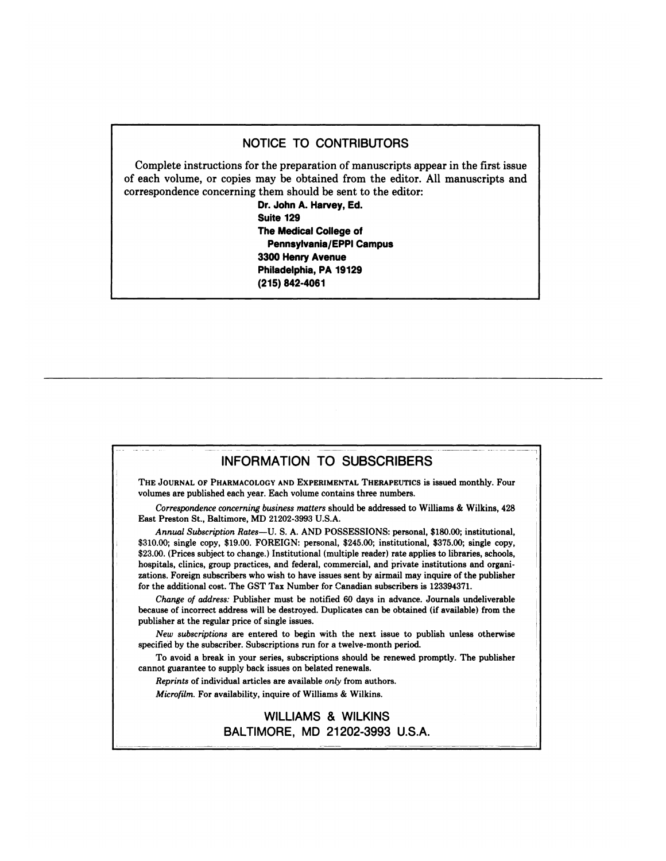## NOTICE TO CONTRIBUTORS

Complete instructions for the preparation of manuscripts appear in the first issue **of each volume, or copies** may be obtained from theeditor. All manuscripts and correspondence concerning them should be sent to the editor:

> **Dr. John A. Harvey, Ed. Suite 129 The Medical College of Pennsylvania/EPPI Campus** 3300 Henry **Avenue Philadelphia, PA 19129 (215) 842-4061**

## **INFORMATION TO SUBSCRIBERS**

. . FORMATION TOSUBSCBERS

THE **JOURNAL OF PHARMACOLOGY AND EXPERIMENTAL THERAPEUTIcS is** issued **monthly. Four** volumes are published each year. Each volume contains three numbers.

*Correspondence concerning business matters* should be addressed to Williams & Wilkins, 428 East Preston St., Baltimore, MD 21202-3993 U.S.A.

*Annual Subscription Rates-U. S.* A. AND POSSESSIONS: personal, \$180.00; institutional, **\$310.00;** single **copy,** \$19.00. FOREIGN: personal, \$245.00; institutional, \$375.00; single copy, \$23.00. (Prices subject to change.) Institutional (multiple reader) rate applies to libraries, schools, hospitals, clinics, group practices, and federal, commercial, and private institutions and organizations. Foreign subscribers **who wish to have issues sent by airmail may inquire of the publisher** for the additional **cost. The GST** Tax Number for Canadian subscribers is 123394371.

*Change of address:* Publisher must be notified 60 days in advance. Journals undeliverable because of incorrect address will be destroyed. Duplicates can be obtained (if available) from the publisher at the regular price of single **issues.**

*New subscriptions* **are entered to begin with the next issue to publish unless otherwise** specified by the subscriber. Subscriptions run for a twelve-month period.

To avoid a break in your series, subscriptions should be renewed promptly. The publisher cannot guarantee to supply back issues on belated renewals.

*Reprints* **of individual articles** are available *onty* **from authors.** *Micmfilm.* For availability, inquire of Williams & Wilkins.

> WILLIAMS & WILKINS BALTIMORE, MD 21202-3993 U.S.A.